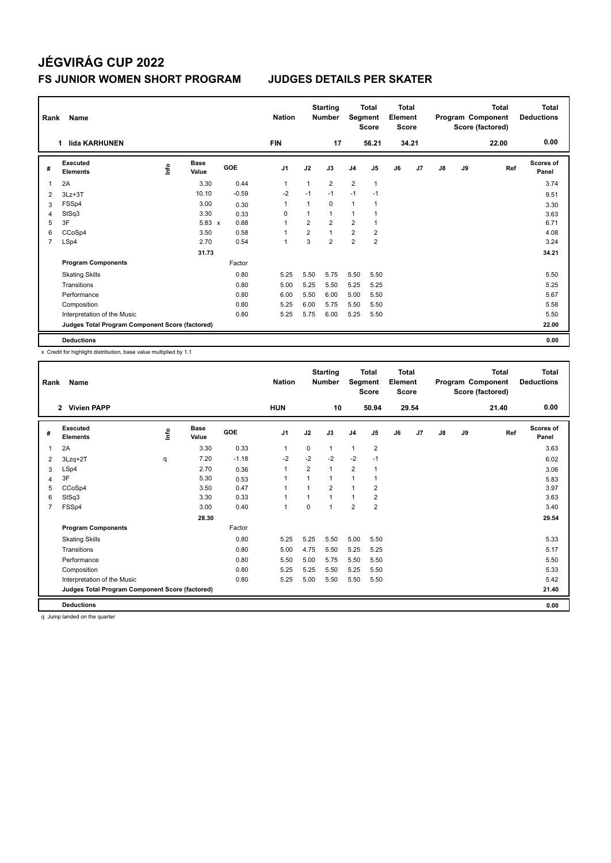### **FS JUNIOR WOMEN SHORT PROGRAM JUDGES DETAILS PER SKATER**

| Rank           | Name                                            |      | <b>Nation</b>        |         | <b>Starting</b><br><b>Number</b> |                | <b>Total</b><br>Segment<br><b>Score</b> | <b>Total</b><br>Element<br><b>Score</b> |                |    |       | <b>Total</b><br>Program Component<br>Score (factored) | Total<br><b>Deductions</b> |       |                           |
|----------------|-------------------------------------------------|------|----------------------|---------|----------------------------------|----------------|-----------------------------------------|-----------------------------------------|----------------|----|-------|-------------------------------------------------------|----------------------------|-------|---------------------------|
|                | lida KARHUNEN<br>1.                             |      |                      |         | <b>FIN</b>                       |                | 17                                      |                                         | 56.21          |    | 34.21 |                                                       |                            | 22.00 | 0.00                      |
| #              | Executed<br><b>Elements</b>                     | ١nf٥ | <b>Base</b><br>Value | GOE     | J <sub>1</sub>                   | J2             | J3                                      | J <sub>4</sub>                          | J5             | J6 | J7    | J8                                                    | J9                         | Ref   | <b>Scores of</b><br>Panel |
| -1             | 2A                                              |      | 3.30                 | 0.44    | 1                                | $\mathbf{1}$   | $\overline{2}$                          | $\overline{2}$                          | $\mathbf{1}$   |    |       |                                                       |                            |       | 3.74                      |
| $\overline{2}$ | $3Lz + 3T$                                      |      | 10.10                | $-0.59$ | $-2$                             | $-1$           | $-1$                                    | $-1$                                    | $-1$           |    |       |                                                       |                            |       | 9.51                      |
| 3              | FSSp4                                           |      | 3.00                 | 0.30    | 1                                | 1              | $\mathbf 0$                             | $\mathbf{1}$                            | 1              |    |       |                                                       |                            |       | 3.30                      |
| $\overline{4}$ | StSq3                                           |      | 3.30                 | 0.33    | 0                                | 1              | $\mathbf{1}$                            | $\mathbf{1}$                            |                |    |       |                                                       |                            |       | 3.63                      |
| 5              | 3F                                              |      | $5.83 \times$        | 0.88    |                                  | 2              | $\overline{2}$                          | $\overline{2}$                          |                |    |       |                                                       |                            |       | 6.71                      |
| 6              | CCoSp4                                          |      | 3.50                 | 0.58    |                                  | $\overline{2}$ | $\overline{1}$                          | $\overline{2}$                          | $\overline{2}$ |    |       |                                                       |                            |       | 4.08                      |
| $\overline{7}$ | LSp4                                            |      | 2.70                 | 0.54    | 1                                | 3              | $\overline{2}$                          | $\overline{2}$                          | $\overline{2}$ |    |       |                                                       |                            |       | 3.24                      |
|                |                                                 |      | 31.73                |         |                                  |                |                                         |                                         |                |    |       |                                                       |                            |       | 34.21                     |
|                | <b>Program Components</b>                       |      |                      | Factor  |                                  |                |                                         |                                         |                |    |       |                                                       |                            |       |                           |
|                | <b>Skating Skills</b>                           |      |                      | 0.80    | 5.25                             | 5.50           | 5.75                                    | 5.50                                    | 5.50           |    |       |                                                       |                            |       | 5.50                      |
|                | Transitions                                     |      |                      | 0.80    | 5.00                             | 5.25           | 5.50                                    | 5.25                                    | 5.25           |    |       |                                                       |                            |       | 5.25                      |
|                | Performance                                     |      |                      | 0.80    | 6.00                             | 5.50           | 6.00                                    | 5.00                                    | 5.50           |    |       |                                                       |                            |       | 5.67                      |
|                | Composition                                     |      |                      | 0.80    | 5.25                             | 6.00           | 5.75                                    | 5.50                                    | 5.50           |    |       |                                                       |                            |       | 5.58                      |
|                | Interpretation of the Music                     |      |                      | 0.80    | 5.25                             | 5.75           | 6.00                                    | 5.25                                    | 5.50           |    |       |                                                       |                            |       | 5.50                      |
|                | Judges Total Program Component Score (factored) |      |                      |         |                                  |                |                                         |                                         |                |    |       |                                                       |                            |       | 22.00                     |
|                | <b>Deductions</b>                               |      |                      |         |                                  |                |                                         |                                         |                |    |       |                                                       |                            |       | 0.00                      |

x Credit for highlight distribution, base value multiplied by 1.1

| Rank | Name                                            |            |                      |         | <b>Nation</b>  |                | <b>Starting</b><br><b>Number</b> | Segment        | <b>Total</b><br><b>Score</b> | <b>Total</b><br>Element<br><b>Score</b> |       |    |    | <b>Total</b><br>Program Component<br>Score (factored) | <b>Total</b><br><b>Deductions</b> |
|------|-------------------------------------------------|------------|----------------------|---------|----------------|----------------|----------------------------------|----------------|------------------------------|-----------------------------------------|-------|----|----|-------------------------------------------------------|-----------------------------------|
|      | 2 Vivien PAPP                                   |            |                      |         | <b>HUN</b>     |                | 10                               |                | 50.94                        |                                         | 29.54 |    |    | 21.40                                                 | 0.00                              |
| #    | Executed<br><b>Elements</b>                     | <b>Lin</b> | <b>Base</b><br>Value | GOE     | J <sub>1</sub> | J2             | J3                               | J <sub>4</sub> | J5                           | J6                                      | J7    | J8 | J9 | Ref                                                   | <b>Scores of</b><br>Panel         |
| 1    | 2A                                              |            | 3.30                 | 0.33    | $\mathbf{1}$   | $\mathbf 0$    | $\mathbf{1}$                     | $\mathbf{1}$   | 2                            |                                         |       |    |    |                                                       | 3.63                              |
| 2    | $3Lzq+2T$                                       | q          | 7.20                 | $-1.18$ | $-2$           | $-2$           | $-2$                             | $-2$           | $-1$                         |                                         |       |    |    |                                                       | 6.02                              |
| 3    | LSp4                                            |            | 2.70                 | 0.36    | $\mathbf{1}$   | 2              | 1                                | $\overline{2}$ | 1                            |                                         |       |    |    |                                                       | 3.06                              |
| 4    | 3F                                              |            | 5.30                 | 0.53    | $\mathbf{1}$   |                | 1                                | $\mathbf{1}$   | 1                            |                                         |       |    |    |                                                       | 5.83                              |
| 5    | CCoSp4                                          |            | 3.50                 | 0.47    | $\mathbf{1}$   | $\overline{1}$ | $\overline{2}$                   | 1              | 2                            |                                         |       |    |    |                                                       | 3.97                              |
| 6    | StSq3                                           |            | 3.30                 | 0.33    | $\mathbf{1}$   |                | 1                                | $\overline{1}$ | 2                            |                                         |       |    |    |                                                       | 3.63                              |
| 7    | FSSp4                                           |            | 3.00                 | 0.40    | $\mathbf{1}$   | $\mathbf 0$    | 1                                | $\overline{2}$ | 2                            |                                         |       |    |    |                                                       | 3.40                              |
|      |                                                 |            | 28.30                |         |                |                |                                  |                |                              |                                         |       |    |    |                                                       | 29.54                             |
|      | <b>Program Components</b>                       |            |                      | Factor  |                |                |                                  |                |                              |                                         |       |    |    |                                                       |                                   |
|      | <b>Skating Skills</b>                           |            |                      | 0.80    | 5.25           | 5.25           | 5.50                             | 5.00           | 5.50                         |                                         |       |    |    |                                                       | 5.33                              |
|      | Transitions                                     |            |                      | 0.80    | 5.00           | 4.75           | 5.50                             | 5.25           | 5.25                         |                                         |       |    |    |                                                       | 5.17                              |
|      | Performance                                     |            |                      | 0.80    | 5.50           | 5.00           | 5.75                             | 5.50           | 5.50                         |                                         |       |    |    |                                                       | 5.50                              |
|      | Composition                                     |            |                      | 0.80    | 5.25           | 5.25           | 5.50                             | 5.25           | 5.50                         |                                         |       |    |    |                                                       | 5.33                              |
|      | Interpretation of the Music                     |            |                      | 0.80    | 5.25           | 5.00           | 5.50                             | 5.50           | 5.50                         |                                         |       |    |    |                                                       | 5.42                              |
|      | Judges Total Program Component Score (factored) |            |                      |         |                |                |                                  |                |                              |                                         |       |    |    |                                                       | 21.40                             |
|      | <b>Deductions</b>                               |            |                      |         |                |                |                                  |                |                              |                                         |       |    |    |                                                       | 0.00                              |

q Jump landed on the quarter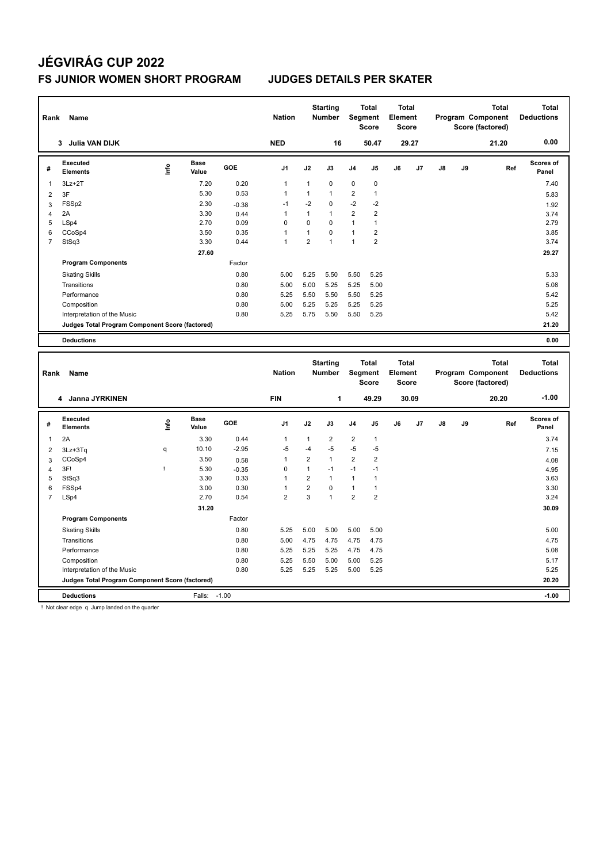#### **FS JUNIOR WOMEN SHORT PROGRAM JUDGES DETAILS PER SKATER**

|                | Rank<br><b>Name</b><br><b>Julia VAN DIJK</b><br>3 |      |                      |         | <b>Nation</b>  |                | <b>Starting</b><br><b>Number</b> |                | <b>Total</b><br><b>Segment</b><br><b>Score</b> | Total<br>Element<br><b>Score</b> |       |    |    | <b>Total</b><br>Program Component<br>Score (factored) | <b>Total</b><br><b>Deductions</b> |
|----------------|---------------------------------------------------|------|----------------------|---------|----------------|----------------|----------------------------------|----------------|------------------------------------------------|----------------------------------|-------|----|----|-------------------------------------------------------|-----------------------------------|
|                |                                                   |      |                      |         | <b>NED</b>     |                | 16                               |                | 50.47                                          |                                  | 29.27 |    |    | 21.20                                                 | 0.00                              |
| #              | Executed<br><b>Elements</b>                       | ١nf٥ | <b>Base</b><br>Value | GOE     | J <sub>1</sub> | J2             | J3                               | J <sub>4</sub> | J <sub>5</sub>                                 | J6                               | J7    | J8 | J9 | Ref                                                   | <b>Scores of</b><br>Panel         |
| -1             | $3Lz + 2T$                                        |      | 7.20                 | 0.20    | 1              | 1              | $\mathbf 0$                      | $\mathbf 0$    | 0                                              |                                  |       |    |    |                                                       | 7.40                              |
| $\overline{2}$ | 3F                                                |      | 5.30                 | 0.53    | 1              | 1              | $\overline{1}$                   | 2              | 1                                              |                                  |       |    |    |                                                       | 5.83                              |
| 3              | FSS <sub>p2</sub>                                 |      | 2.30                 | $-0.38$ | $-1$           | $-2$           | $\mathbf 0$                      | $-2$           | $-2$                                           |                                  |       |    |    |                                                       | 1.92                              |
| 4              | 2A                                                |      | 3.30                 | 0.44    |                | $\mathbf{1}$   | $\overline{1}$                   | 2              | $\overline{2}$                                 |                                  |       |    |    |                                                       | 3.74                              |
| 5              | LSp4                                              |      | 2.70                 | 0.09    | $\Omega$       | 0              | $\Omega$                         | $\overline{1}$ | 1                                              |                                  |       |    |    |                                                       | 2.79                              |
| 6              | CCoSp4                                            |      | 3.50                 | 0.35    | 1              | 1              | $\mathbf 0$                      | $\mathbf{1}$   | 2                                              |                                  |       |    |    |                                                       | 3.85                              |
| $\overline{7}$ | StSq3                                             |      | 3.30                 | 0.44    | $\mathbf{1}$   | $\overline{2}$ | 1                                | $\mathbf{1}$   | $\overline{2}$                                 |                                  |       |    |    |                                                       | 3.74                              |
|                |                                                   |      | 27.60                |         |                |                |                                  |                |                                                |                                  |       |    |    |                                                       | 29.27                             |
|                | <b>Program Components</b>                         |      |                      | Factor  |                |                |                                  |                |                                                |                                  |       |    |    |                                                       |                                   |
|                | <b>Skating Skills</b>                             |      |                      | 0.80    | 5.00           | 5.25           | 5.50                             | 5.50           | 5.25                                           |                                  |       |    |    |                                                       | 5.33                              |
|                | Transitions                                       |      |                      | 0.80    | 5.00           | 5.00           | 5.25                             | 5.25           | 5.00                                           |                                  |       |    |    |                                                       | 5.08                              |
|                | Performance                                       |      |                      | 0.80    | 5.25           | 5.50           | 5.50                             | 5.50           | 5.25                                           |                                  |       |    |    |                                                       | 5.42                              |
|                | Composition                                       |      |                      | 0.80    | 5.00           | 5.25           | 5.25                             | 5.25           | 5.25                                           |                                  |       |    |    |                                                       | 5.25                              |
|                | Interpretation of the Music                       |      |                      | 0.80    | 5.25           | 5.75           | 5.50                             | 5.50           | 5.25                                           |                                  |       |    |    |                                                       | 5.42                              |
|                | Judges Total Program Component Score (factored)   |      |                      |         |                |                |                                  |                |                                                |                                  |       |    |    |                                                       | 21.20                             |
|                | <b>Deductions</b>                                 |      |                      |         |                |                |                                  |                |                                                |                                  |       |    |    |                                                       | 0.00                              |

| Rank           | Name<br>4 Janna JYRKINEN                        |      |                      |            | <b>Nation</b>  |                | <b>Starting</b><br><b>Number</b> | Segment        | <b>Total</b><br><b>Score</b> | <b>Total</b><br>Element<br>Score |       |    |    | Total<br>Program Component<br>Score (factored) | <b>Total</b><br><b>Deductions</b> |
|----------------|-------------------------------------------------|------|----------------------|------------|----------------|----------------|----------------------------------|----------------|------------------------------|----------------------------------|-------|----|----|------------------------------------------------|-----------------------------------|
|                |                                                 |      |                      |            | <b>FIN</b>     |                | 1                                |                | 49.29                        |                                  | 30.09 |    |    | 20.20                                          | $-1.00$                           |
| #              | Executed<br><b>Elements</b>                     | ١nf٥ | <b>Base</b><br>Value | <b>GOE</b> | J <sub>1</sub> | J2             | J3                               | J <sub>4</sub> | J <sub>5</sub>               | J6                               | J7    | J8 | J9 | Ref                                            | Scores of<br>Panel                |
| 1              | 2A                                              |      | 3.30                 | 0.44       | 1              | 1              | $\overline{2}$                   | $\overline{2}$ | $\mathbf{1}$                 |                                  |       |    |    |                                                | 3.74                              |
| 2              | 3Lz+3Tq                                         | q    | 10.10                | $-2.95$    | $-5$           | -4             | $-5$                             | $-5$           | $-5$                         |                                  |       |    |    |                                                | 7.15                              |
| 3              | CCoSp4                                          |      | 3.50                 | 0.58       |                | $\overline{2}$ | $\mathbf{1}$                     | $\overline{2}$ | $\overline{2}$               |                                  |       |    |    |                                                | 4.08                              |
| 4              | 3F!                                             |      | 5.30                 | $-0.35$    | 0              | 1              | $-1$                             | $-1$           | $-1$                         |                                  |       |    |    |                                                | 4.95                              |
| 5              | StSq3                                           |      | 3.30                 | 0.33       |                | $\overline{2}$ | $\mathbf{1}$                     | 1              | 1                            |                                  |       |    |    |                                                | 3.63                              |
| 6              | FSSp4                                           |      | 3.00                 | 0.30       |                | $\overline{2}$ | $\Omega$                         | 1              | 1                            |                                  |       |    |    |                                                | 3.30                              |
| $\overline{7}$ | LSp4                                            |      | 2.70                 | 0.54       | $\overline{2}$ | 3              | $\overline{1}$                   | $\overline{2}$ | $\overline{2}$               |                                  |       |    |    |                                                | 3.24                              |
|                |                                                 |      | 31.20                |            |                |                |                                  |                |                              |                                  |       |    |    |                                                | 30.09                             |
|                | <b>Program Components</b>                       |      |                      | Factor     |                |                |                                  |                |                              |                                  |       |    |    |                                                |                                   |
|                | <b>Skating Skills</b>                           |      |                      | 0.80       | 5.25           | 5.00           | 5.00                             | 5.00           | 5.00                         |                                  |       |    |    |                                                | 5.00                              |
|                | Transitions                                     |      |                      | 0.80       | 5.00           | 4.75           | 4.75                             | 4.75           | 4.75                         |                                  |       |    |    |                                                | 4.75                              |
|                | Performance                                     |      |                      | 0.80       | 5.25           | 5.25           | 5.25                             | 4.75           | 4.75                         |                                  |       |    |    |                                                | 5.08                              |
|                | Composition                                     |      |                      | 0.80       | 5.25           | 5.50           | 5.00                             | 5.00           | 5.25                         |                                  |       |    |    |                                                | 5.17                              |
|                | Interpretation of the Music                     |      |                      | 0.80       | 5.25           | 5.25           | 5.25                             | 5.00           | 5.25                         |                                  |       |    |    |                                                | 5.25                              |
|                | Judges Total Program Component Score (factored) |      |                      |            |                |                |                                  |                |                              |                                  |       |    |    |                                                | 20.20                             |
|                | <b>Deductions</b>                               |      | Falls:               | $-1.00$    |                |                |                                  |                |                              |                                  |       |    |    |                                                | $-1.00$                           |

! Not clear edge q Jump landed on the quarter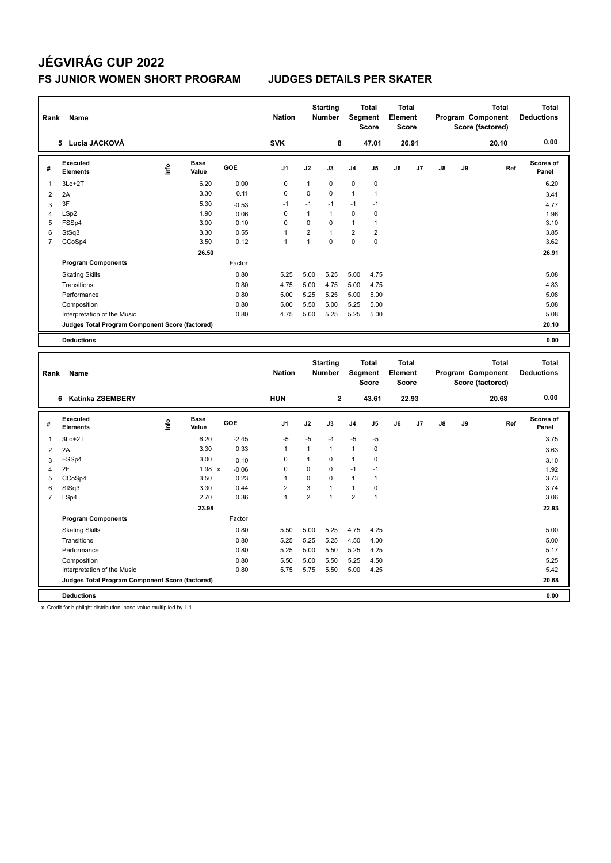### **FS JUNIOR WOMEN SHORT PROGRAM JUDGES DETAILS PER SKATER**

|                | Name<br>Rank<br>Lucia JACKOVÁ<br>5              |    |                      |         | <b>Nation</b>  |                | <b>Starting</b><br><b>Number</b> |                | <b>Total</b><br>Segment<br><b>Score</b> | Total<br>Element<br><b>Score</b> |       |    |    | <b>Total</b><br>Program Component<br>Score (factored) | Total<br><b>Deductions</b> |
|----------------|-------------------------------------------------|----|----------------------|---------|----------------|----------------|----------------------------------|----------------|-----------------------------------------|----------------------------------|-------|----|----|-------------------------------------------------------|----------------------------|
|                |                                                 |    |                      |         | <b>SVK</b>     |                | 8                                |                | 47.01                                   |                                  | 26.91 |    |    | 20.10                                                 | 0.00                       |
| #              | Executed<br><b>Elements</b>                     | ۴ů | <b>Base</b><br>Value | GOE     | J <sub>1</sub> | J2             | J3                               | J <sub>4</sub> | J5                                      | J6                               | J7    | J8 | J9 | Ref                                                   | <b>Scores of</b><br>Panel  |
|                | $3Lo+2T$                                        |    | 6.20                 | 0.00    | 0              | 1              | $\mathbf 0$                      | $\mathbf 0$    | $\mathbf 0$                             |                                  |       |    |    |                                                       | 6.20                       |
| $\overline{2}$ | 2A                                              |    | 3.30                 | 0.11    | $\mathbf 0$    | $\mathbf 0$    | $\Omega$                         | $\mathbf{1}$   | $\mathbf{1}$                            |                                  |       |    |    |                                                       | 3.41                       |
| 3              | 3F                                              |    | 5.30                 | $-0.53$ | $-1$           | $-1$           | $-1$                             | $-1$           | $-1$                                    |                                  |       |    |    |                                                       | 4.77                       |
| $\overline{4}$ | LSp2                                            |    | 1.90                 | 0.06    | $\Omega$       | 1              | $\overline{1}$                   | $\mathbf 0$    | 0                                       |                                  |       |    |    |                                                       | 1.96                       |
| 5              | FSSp4                                           |    | 3.00                 | 0.10    | $\Omega$       | $\mathbf 0$    | $\mathbf 0$                      | $\mathbf{1}$   | 1                                       |                                  |       |    |    |                                                       | 3.10                       |
| 6              | StSq3                                           |    | 3.30                 | 0.55    |                | $\overline{2}$ | $\overline{1}$                   | $\overline{2}$ | $\overline{2}$                          |                                  |       |    |    |                                                       | 3.85                       |
| 7              | CCoSp4                                          |    | 3.50                 | 0.12    | 1              | 1              | $\Omega$                         | $\mathbf 0$    | $\mathbf 0$                             |                                  |       |    |    |                                                       | 3.62                       |
|                |                                                 |    | 26.50                |         |                |                |                                  |                |                                         |                                  |       |    |    |                                                       | 26.91                      |
|                | <b>Program Components</b>                       |    |                      | Factor  |                |                |                                  |                |                                         |                                  |       |    |    |                                                       |                            |
|                | <b>Skating Skills</b>                           |    |                      | 0.80    | 5.25           | 5.00           | 5.25                             | 5.00           | 4.75                                    |                                  |       |    |    |                                                       | 5.08                       |
|                | Transitions                                     |    |                      | 0.80    | 4.75           | 5.00           | 4.75                             | 5.00           | 4.75                                    |                                  |       |    |    |                                                       | 4.83                       |
|                | Performance                                     |    |                      | 0.80    | 5.00           | 5.25           | 5.25                             | 5.00           | 5.00                                    |                                  |       |    |    |                                                       | 5.08                       |
|                | Composition                                     |    |                      | 0.80    | 5.00           | 5.50           | 5.00                             | 5.25           | 5.00                                    |                                  |       |    |    |                                                       | 5.08                       |
|                | Interpretation of the Music                     |    |                      | 0.80    | 4.75           | 5.00           | 5.25                             | 5.25           | 5.00                                    |                                  |       |    |    |                                                       | 5.08                       |
|                | Judges Total Program Component Score (factored) |    |                      |         |                |                |                                  |                |                                         |                                  |       |    |    |                                                       | 20.10                      |
|                | <b>Deductions</b>                               |    |                      |         |                |                |                                  |                |                                         |                                  |       |    |    |                                                       | 0.00                       |
|                |                                                 |    |                      |         |                |                |                                  |                |                                         |                                  |       |    |    |                                                       |                            |

| Rank           | Name                                            |      |                      |         | <b>Nation</b>  |                | <b>Starting</b><br><b>Number</b> |                | <b>Total</b><br>Segment<br><b>Score</b> | <b>Total</b><br>Element<br><b>Score</b> |       |    |    | <b>Total</b><br>Program Component<br>Score (factored) | <b>Total</b><br><b>Deductions</b> |
|----------------|-------------------------------------------------|------|----------------------|---------|----------------|----------------|----------------------------------|----------------|-----------------------------------------|-----------------------------------------|-------|----|----|-------------------------------------------------------|-----------------------------------|
|                | <b>Katinka ZSEMBERY</b><br>6                    |      |                      |         | <b>HUN</b>     |                | $\mathbf{2}$                     |                | 43.61                                   |                                         | 22.93 |    |    | 20.68                                                 | 0.00                              |
| #              | Executed<br><b>Elements</b>                     | lnfo | <b>Base</b><br>Value | GOE     | J <sub>1</sub> | J2             | J3                               | J <sub>4</sub> | J <sub>5</sub>                          | J6                                      | J7    | J8 | J9 | Ref                                                   | <b>Scores of</b><br>Panel         |
| 1              | $3Lo+2T$                                        |      | 6.20                 | $-2.45$ | $-5$           | $-5$           | $-4$                             | $-5$           | $-5$                                    |                                         |       |    |    |                                                       | 3.75                              |
| $\overline{2}$ | 2A                                              |      | 3.30                 | 0.33    | 1              | 1              | $\mathbf{1}$                     | $\mathbf{1}$   | 0                                       |                                         |       |    |    |                                                       | 3.63                              |
| 3              | FSSp4                                           |      | 3.00                 | 0.10    | 0              | 1              | 0                                | 1              | 0                                       |                                         |       |    |    |                                                       | 3.10                              |
| 4              | 2F                                              |      | $1.98 \times$        | $-0.06$ | 0              | 0              | $\mathbf 0$                      | $-1$           | $-1$                                    |                                         |       |    |    |                                                       | 1.92                              |
| 5              | CCoSp4                                          |      | 3.50                 | 0.23    |                | $\Omega$       | $\mathbf 0$                      | 1              | 1                                       |                                         |       |    |    |                                                       | 3.73                              |
| 6              | StSq3                                           |      | 3.30                 | 0.44    | $\overline{2}$ | 3              |                                  | 1              | 0                                       |                                         |       |    |    |                                                       | 3.74                              |
| 7              | LSp4                                            |      | 2.70                 | 0.36    | 1              | $\overline{2}$ | $\overline{1}$                   | $\overline{2}$ | $\overline{1}$                          |                                         |       |    |    |                                                       | 3.06                              |
|                |                                                 |      | 23.98                |         |                |                |                                  |                |                                         |                                         |       |    |    |                                                       | 22.93                             |
|                | <b>Program Components</b>                       |      |                      | Factor  |                |                |                                  |                |                                         |                                         |       |    |    |                                                       |                                   |
|                | <b>Skating Skills</b>                           |      |                      | 0.80    | 5.50           | 5.00           | 5.25                             | 4.75           | 4.25                                    |                                         |       |    |    |                                                       | 5.00                              |
|                | Transitions                                     |      |                      | 0.80    | 5.25           | 5.25           | 5.25                             | 4.50           | 4.00                                    |                                         |       |    |    |                                                       | 5.00                              |
|                | Performance                                     |      |                      | 0.80    | 5.25           | 5.00           | 5.50                             | 5.25           | 4.25                                    |                                         |       |    |    |                                                       | 5.17                              |
|                | Composition                                     |      |                      | 0.80    | 5.50           | 5.00           | 5.50                             | 5.25           | 4.50                                    |                                         |       |    |    |                                                       | 5.25                              |
|                | Interpretation of the Music                     |      |                      | 0.80    | 5.75           | 5.75           | 5.50                             | 5.00           | 4.25                                    |                                         |       |    |    |                                                       | 5.42                              |
|                | Judges Total Program Component Score (factored) |      |                      |         |                |                |                                  |                |                                         |                                         |       |    |    |                                                       | 20.68                             |
|                | <b>Deductions</b>                               |      |                      |         |                |                |                                  |                |                                         |                                         |       |    |    |                                                       | 0.00                              |

x Credit for highlight distribution, base value multiplied by 1.1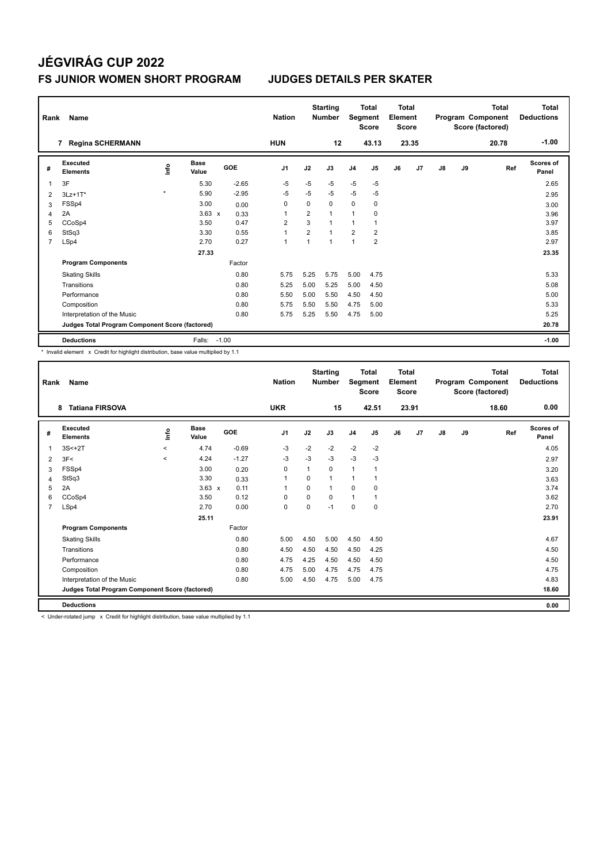### **FS JUNIOR WOMEN SHORT PROGRAM JUDGES DETAILS PER SKATER**

| Rank           | Name                                            |         |                      |            | <b>Nation</b>  |                | <b>Starting</b><br><b>Number</b> | Segment        | <b>Total</b><br><b>Score</b> | Total<br>Element<br>Score |       |               |    | Total<br>Program Component<br>Score (factored) | Total<br><b>Deductions</b> |
|----------------|-------------------------------------------------|---------|----------------------|------------|----------------|----------------|----------------------------------|----------------|------------------------------|---------------------------|-------|---------------|----|------------------------------------------------|----------------------------|
|                | <b>Regina SCHERMANN</b><br>$\overline{7}$       |         |                      |            | <b>HUN</b>     |                | 12                               |                | 43.13                        |                           | 23.35 |               |    | 20.78                                          | $-1.00$                    |
| #              | Executed<br><b>Elements</b>                     | lnfo    | <b>Base</b><br>Value | <b>GOE</b> | J <sub>1</sub> | J2             | J3                               | J <sub>4</sub> | J <sub>5</sub>               | J6                        | J7    | $\mathsf{J}8$ | J9 | Ref                                            | <b>Scores of</b><br>Panel  |
|                | 3F                                              |         | 5.30                 | $-2.65$    | $-5$           | $-5$           | $-5$                             | $-5$           | $-5$                         |                           |       |               |    |                                                | 2.65                       |
| $\overline{2}$ | $3Lz+1T*$                                       | $\star$ | 5.90                 | $-2.95$    | $-5$           | $-5$           | $-5$                             | $-5$           | $-5$                         |                           |       |               |    |                                                | 2.95                       |
| 3              | FSSp4                                           |         | 3.00                 | 0.00       | 0              | 0              | $\mathbf 0$                      | $\mathbf 0$    | $\mathbf 0$                  |                           |       |               |    |                                                | 3.00                       |
| 4              | 2A                                              |         | $3.63 \times$        | 0.33       | 1              | $\overline{2}$ | $\mathbf{1}$                     | 1              | $\mathbf 0$                  |                           |       |               |    |                                                | 3.96                       |
| 5              | CCoSp4                                          |         | 3.50                 | 0.47       | $\overline{2}$ | 3              | $\mathbf{1}$                     | $\mathbf{1}$   | $\overline{1}$               |                           |       |               |    |                                                | 3.97                       |
| 6              | StSq3                                           |         | 3.30                 | 0.55       | 1              | $\overline{2}$ | $\overline{1}$                   | $\overline{2}$ | $\overline{2}$               |                           |       |               |    |                                                | 3.85                       |
| $\overline{7}$ | LSp4                                            |         | 2.70                 | 0.27       | 1              | $\overline{1}$ | $\overline{1}$                   | $\overline{1}$ | $\overline{2}$               |                           |       |               |    |                                                | 2.97                       |
|                |                                                 |         | 27.33                |            |                |                |                                  |                |                              |                           |       |               |    |                                                | 23.35                      |
|                | <b>Program Components</b>                       |         |                      | Factor     |                |                |                                  |                |                              |                           |       |               |    |                                                |                            |
|                | <b>Skating Skills</b>                           |         |                      | 0.80       | 5.75           | 5.25           | 5.75                             | 5.00           | 4.75                         |                           |       |               |    |                                                | 5.33                       |
|                | Transitions                                     |         |                      | 0.80       | 5.25           | 5.00           | 5.25                             | 5.00           | 4.50                         |                           |       |               |    |                                                | 5.08                       |
|                | Performance                                     |         |                      | 0.80       | 5.50           | 5.00           | 5.50                             | 4.50           | 4.50                         |                           |       |               |    |                                                | 5.00                       |
|                | Composition                                     |         |                      | 0.80       | 5.75           | 5.50           | 5.50                             | 4.75           | 5.00                         |                           |       |               |    |                                                | 5.33                       |
|                | Interpretation of the Music                     |         |                      | 0.80       | 5.75           | 5.25           | 5.50                             | 4.75           | 5.00                         |                           |       |               |    |                                                | 5.25                       |
|                | Judges Total Program Component Score (factored) |         |                      |            |                |                |                                  |                |                              |                           |       |               |    |                                                | 20.78                      |
|                | <b>Deductions</b>                               |         | Falls:               | $-1.00$    |                |                |                                  |                |                              |                           |       |               |    |                                                | $-1.00$                    |

\* Invalid element x Credit for highlight distribution, base value multiplied by 1.1

| Rank           | Name<br><b>Tatiana FIRSOVA</b><br>8             |          |               |            | <b>Nation</b>  |          | <b>Starting</b><br><b>Number</b> | Segment        | <b>Total</b><br><b>Score</b> | <b>Total</b><br>Element<br><b>Score</b> |       |               |    | <b>Total</b><br>Program Component<br>Score (factored) | <b>Total</b><br><b>Deductions</b> |
|----------------|-------------------------------------------------|----------|---------------|------------|----------------|----------|----------------------------------|----------------|------------------------------|-----------------------------------------|-------|---------------|----|-------------------------------------------------------|-----------------------------------|
|                |                                                 |          |               |            | <b>UKR</b>     |          | 15                               |                | 42.51                        |                                         | 23.91 |               |    | 18.60                                                 | 0.00                              |
| #              | Executed<br><b>Elements</b>                     | ١m       | Base<br>Value | <b>GOE</b> | J <sub>1</sub> | J2       | J3                               | J <sub>4</sub> | J5                           | J6                                      | J7    | $\mathsf{J}8$ | J9 | Ref                                                   | Scores of<br>Panel                |
| 1              | $3S<+2T$                                        | $\hat{}$ | 4.74          | $-0.69$    | $-3$           | $-2$     | $-2$                             | $-2$           | $-2$                         |                                         |       |               |    |                                                       | 4.05                              |
| 2              | 3F<                                             | $\prec$  | 4.24          | $-1.27$    | $-3$           | $-3$     | $-3$                             | $-3$           | $-3$                         |                                         |       |               |    |                                                       | 2.97                              |
| 3              | FSSp4                                           |          | 3.00          | 0.20       | 0              | 1        | 0                                | $\mathbf{1}$   |                              |                                         |       |               |    |                                                       | 3.20                              |
| 4              | StSq3                                           |          | 3.30          | 0.33       | $\mathbf{1}$   | $\Omega$ | $\mathbf{1}$                     | $\overline{1}$ |                              |                                         |       |               |    |                                                       | 3.63                              |
| 5              | 2A                                              |          | $3.63 \times$ | 0.11       | 1              | 0        | 1                                | $\mathbf 0$    | $\mathbf 0$                  |                                         |       |               |    |                                                       | 3.74                              |
| 6              | CCoSp4                                          |          | 3.50          | 0.12       | 0              | $\Omega$ | 0                                | $\mathbf{1}$   |                              |                                         |       |               |    |                                                       | 3.62                              |
| $\overline{7}$ | LSp4                                            |          | 2.70          | 0.00       | $\mathbf 0$    | $\Omega$ | $-1$                             | 0              | 0                            |                                         |       |               |    |                                                       | 2.70                              |
|                |                                                 |          | 25.11         |            |                |          |                                  |                |                              |                                         |       |               |    |                                                       | 23.91                             |
|                | <b>Program Components</b>                       |          |               | Factor     |                |          |                                  |                |                              |                                         |       |               |    |                                                       |                                   |
|                | <b>Skating Skills</b>                           |          |               | 0.80       | 5.00           | 4.50     | 5.00                             | 4.50           | 4.50                         |                                         |       |               |    |                                                       | 4.67                              |
|                | Transitions                                     |          |               | 0.80       | 4.50           | 4.50     | 4.50                             | 4.50           | 4.25                         |                                         |       |               |    |                                                       | 4.50                              |
|                | Performance                                     |          |               | 0.80       | 4.75           | 4.25     | 4.50                             | 4.50           | 4.50                         |                                         |       |               |    |                                                       | 4.50                              |
|                | Composition                                     |          |               | 0.80       | 4.75           | 5.00     | 4.75                             | 4.75           | 4.75                         |                                         |       |               |    |                                                       | 4.75                              |
|                | Interpretation of the Music                     |          |               | 0.80       | 5.00           | 4.50     | 4.75                             | 5.00           | 4.75                         |                                         |       |               |    |                                                       | 4.83                              |
|                | Judges Total Program Component Score (factored) |          |               |            |                |          |                                  |                |                              |                                         |       |               |    |                                                       | 18.60                             |
|                | <b>Deductions</b>                               |          |               |            |                |          |                                  |                |                              |                                         |       |               |    |                                                       | 0.00                              |
|                |                                                 |          | $\sim$        | .          |                |          |                                  |                |                              |                                         |       |               |    |                                                       |                                   |

< Under-rotated jump x Credit for highlight distribution, base value multiplied by 1.1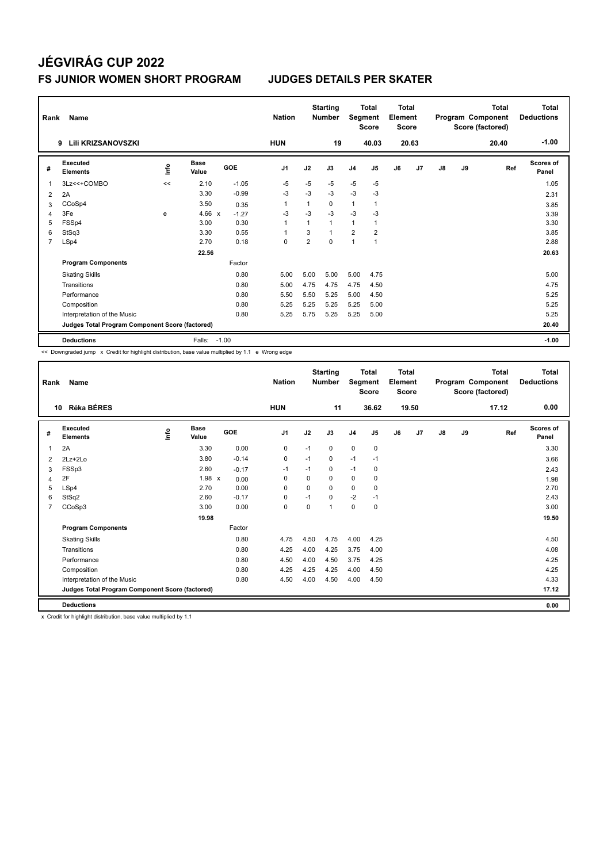#### **FS JUNIOR WOMEN SHORT PROGRAM JUDGES DETAILS PER SKATER**

| Rank           | Name                                            |      |                      |            | <b>Nation</b>  |                | <b>Starting</b><br><b>Number</b> | Segment        | <b>Total</b><br><b>Score</b> | <b>Total</b><br>Element<br><b>Score</b> |       |    |    | <b>Total</b><br>Program Component<br>Score (factored) | <b>Total</b><br><b>Deductions</b> |
|----------------|-------------------------------------------------|------|----------------------|------------|----------------|----------------|----------------------------------|----------------|------------------------------|-----------------------------------------|-------|----|----|-------------------------------------------------------|-----------------------------------|
|                | Lili KRIZSANOVSZKI<br>9                         |      |                      |            | <b>HUN</b>     |                | 19                               |                | 40.03                        |                                         | 20.63 |    |    | 20.40                                                 | $-1.00$                           |
| #              | Executed<br><b>Elements</b>                     | lnfo | <b>Base</b><br>Value | <b>GOE</b> | J <sub>1</sub> | J2             | J3                               | J <sub>4</sub> | J <sub>5</sub>               | J6                                      | J7    | J8 | J9 | Ref                                                   | Scores of<br>Panel                |
| 1              | 3Lz<<+COMBO                                     | <<   | 2.10                 | $-1.05$    | $-5$           | $-5$           | $-5$                             | $-5$           | $-5$                         |                                         |       |    |    |                                                       | 1.05                              |
| $\overline{2}$ | 2A                                              |      | 3.30                 | $-0.99$    | -3             | $-3$           | $-3$                             | $-3$           | -3                           |                                         |       |    |    |                                                       | 2.31                              |
| 3              | CCoSp4                                          |      | 3.50                 | 0.35       | 1              | 1              | 0                                | $\mathbf{1}$   | $\mathbf{1}$                 |                                         |       |    |    |                                                       | 3.85                              |
| 4              | 3Fe                                             | e    | 4.66 $x$             | $-1.27$    | $-3$           | $-3$           | $-3$                             | $-3$           | -3                           |                                         |       |    |    |                                                       | 3.39                              |
| 5              | FSSp4                                           |      | 3.00                 | 0.30       | $\overline{1}$ | $\mathbf{1}$   | 1                                | 1              | 1                            |                                         |       |    |    |                                                       | 3.30                              |
| 6              | StSq3                                           |      | 3.30                 | 0.55       | 1              | 3              | $\mathbf{1}$                     | $\overline{2}$ | $\overline{2}$               |                                         |       |    |    |                                                       | 3.85                              |
| 7              | LSp4                                            |      | 2.70                 | 0.18       | $\mathbf 0$    | $\overline{2}$ | $\mathbf 0$                      | 1              | $\overline{1}$               |                                         |       |    |    |                                                       | 2.88                              |
|                |                                                 |      | 22.56                |            |                |                |                                  |                |                              |                                         |       |    |    |                                                       | 20.63                             |
|                | <b>Program Components</b>                       |      |                      | Factor     |                |                |                                  |                |                              |                                         |       |    |    |                                                       |                                   |
|                | <b>Skating Skills</b>                           |      |                      | 0.80       | 5.00           | 5.00           | 5.00                             | 5.00           | 4.75                         |                                         |       |    |    |                                                       | 5.00                              |
|                | Transitions                                     |      |                      | 0.80       | 5.00           | 4.75           | 4.75                             | 4.75           | 4.50                         |                                         |       |    |    |                                                       | 4.75                              |
|                | Performance                                     |      |                      | 0.80       | 5.50           | 5.50           | 5.25                             | 5.00           | 4.50                         |                                         |       |    |    |                                                       | 5.25                              |
|                | Composition                                     |      |                      | 0.80       | 5.25           | 5.25           | 5.25                             | 5.25           | 5.00                         |                                         |       |    |    |                                                       | 5.25                              |
|                | Interpretation of the Music                     |      |                      | 0.80       | 5.25           | 5.75           | 5.25                             | 5.25           | 5.00                         |                                         |       |    |    |                                                       | 5.25                              |
|                | Judges Total Program Component Score (factored) |      |                      |            |                |                |                                  |                |                              |                                         |       |    |    |                                                       | 20.40                             |
|                | <b>Deductions</b>                               |      | Falls:               | $-1.00$    |                |                |                                  |                |                              |                                         |       |    |    |                                                       | $-1.00$                           |

<< Downgraded jump x Credit for highlight distribution, base value multiplied by 1.1 e Wrong edge

| Rank           | Name                                            |             |                      |         | <b>Nation</b>  |             | <b>Starting</b><br><b>Number</b> | Segment        | <b>Total</b><br><b>Score</b> | Total<br>Element<br><b>Score</b> |       |    |    | <b>Total</b><br>Program Component<br>Score (factored) | <b>Total</b><br><b>Deductions</b> |
|----------------|-------------------------------------------------|-------------|----------------------|---------|----------------|-------------|----------------------------------|----------------|------------------------------|----------------------------------|-------|----|----|-------------------------------------------------------|-----------------------------------|
|                | <b>Réka BÉRES</b><br>10                         |             |                      |         | <b>HUN</b>     |             | 11                               |                | 36.62                        |                                  | 19.50 |    |    | 17.12                                                 | 0.00                              |
| #              | Executed<br><b>Elements</b>                     | <u>info</u> | <b>Base</b><br>Value | GOE     | J <sub>1</sub> | J2          | J3                               | J <sub>4</sub> | J5                           | J6                               | J7    | J8 | J9 | Ref                                                   | <b>Scores of</b><br>Panel         |
| 1              | 2A                                              |             | 3.30                 | 0.00    | 0              | $-1$        | 0                                | $\mathbf 0$    | 0                            |                                  |       |    |    |                                                       | 3.30                              |
| 2              | $2Lz+2Lo$                                       |             | 3.80                 | $-0.14$ | 0              | $-1$        | 0                                | $-1$           | $-1$                         |                                  |       |    |    |                                                       | 3.66                              |
| 3              | FSSp3                                           |             | 2.60                 | $-0.17$ | $-1$           | $-1$        | 0                                | $-1$           | 0                            |                                  |       |    |    |                                                       | 2.43                              |
| 4              | 2F                                              |             | $1.98 \times$        | 0.00    | 0              | $\Omega$    | $\Omega$                         | 0              | 0                            |                                  |       |    |    |                                                       | 1.98                              |
| 5              | LSp4                                            |             | 2.70                 | 0.00    | $\Omega$       | $\Omega$    | $\Omega$                         | $\Omega$       | $\Omega$                     |                                  |       |    |    |                                                       | 2.70                              |
| 6              | StSq2                                           |             | 2.60                 | $-0.17$ | 0              | $-1$        | 0                                | $-2$           | $-1$                         |                                  |       |    |    |                                                       | 2.43                              |
| $\overline{7}$ | CCoSp3                                          |             | 3.00                 | 0.00    | $\mathbf 0$    | $\mathbf 0$ | 1                                | $\mathbf 0$    | $\mathbf 0$                  |                                  |       |    |    |                                                       | 3.00                              |
|                |                                                 |             | 19.98                |         |                |             |                                  |                |                              |                                  |       |    |    |                                                       | 19.50                             |
|                | <b>Program Components</b>                       |             |                      | Factor  |                |             |                                  |                |                              |                                  |       |    |    |                                                       |                                   |
|                | <b>Skating Skills</b>                           |             |                      | 0.80    | 4.75           | 4.50        | 4.75                             | 4.00           | 4.25                         |                                  |       |    |    |                                                       | 4.50                              |
|                | Transitions                                     |             |                      | 0.80    | 4.25           | 4.00        | 4.25                             | 3.75           | 4.00                         |                                  |       |    |    |                                                       | 4.08                              |
|                | Performance                                     |             |                      | 0.80    | 4.50           | 4.00        | 4.50                             | 3.75           | 4.25                         |                                  |       |    |    |                                                       | 4.25                              |
|                | Composition                                     |             |                      | 0.80    | 4.25           | 4.25        | 4.25                             | 4.00           | 4.50                         |                                  |       |    |    |                                                       | 4.25                              |
|                | Interpretation of the Music                     |             |                      | 0.80    | 4.50           | 4.00        | 4.50                             | 4.00           | 4.50                         |                                  |       |    |    |                                                       | 4.33                              |
|                | Judges Total Program Component Score (factored) |             |                      |         |                |             |                                  |                |                              |                                  |       |    |    |                                                       | 17.12                             |
|                | <b>Deductions</b>                               |             |                      |         |                |             |                                  |                |                              |                                  |       |    |    |                                                       | 0.00                              |

x Credit for highlight distribution, base value multiplied by 1.1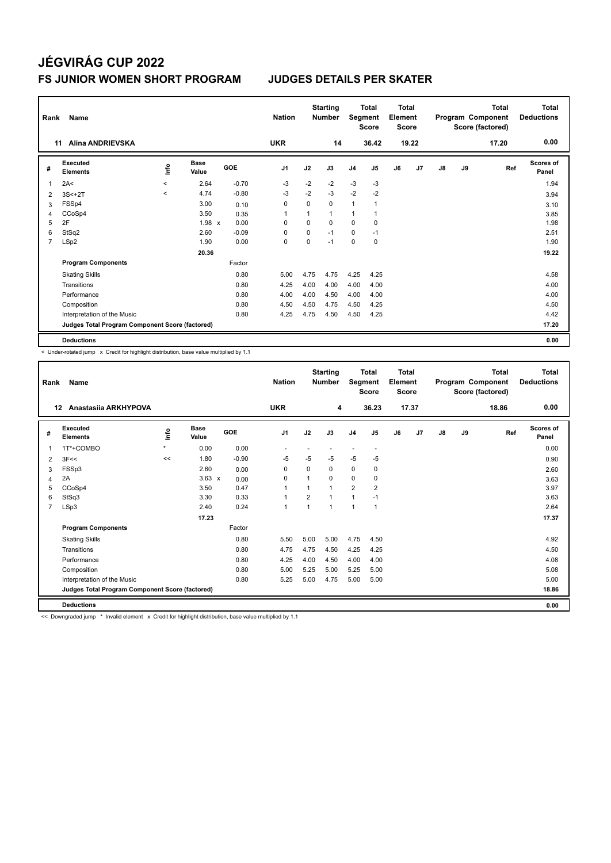### **JÉGVIRÁG CUP 2022 FS JUNIOR WOMEN SHORT PROGRAM JUDGES DETAILS PER SKATER**

| Rank           | Name<br><b>Alina ANDRIEVSKA</b><br>11           |           |                      |         |                |      | <b>Starting</b><br><b>Number</b> |                | <b>Total</b><br>Segment<br><b>Score</b> | <b>Total</b><br>Element<br><b>Score</b> |       |               |    | <b>Total</b><br>Program Component<br>Score (factored) | <b>Total</b><br><b>Deductions</b> |
|----------------|-------------------------------------------------|-----------|----------------------|---------|----------------|------|----------------------------------|----------------|-----------------------------------------|-----------------------------------------|-------|---------------|----|-------------------------------------------------------|-----------------------------------|
|                |                                                 |           |                      |         | <b>UKR</b>     |      | 14                               |                | 36.42                                   |                                         | 19.22 |               |    | 17.20                                                 | 0.00                              |
| #              | Executed<br><b>Elements</b>                     | lnfo      | <b>Base</b><br>Value | GOE     | J <sub>1</sub> | J2   | J3                               | J <sub>4</sub> | J <sub>5</sub>                          | J6                                      | J7    | $\mathsf{J}8$ | J9 | Ref                                                   | Scores of<br>Panel                |
| 1              | 2A<                                             | $\prec$   | 2.64                 | $-0.70$ | $-3$           | $-2$ | $-2$                             | $-3$           | $-3$                                    |                                         |       |               |    |                                                       | 1.94                              |
| $\overline{2}$ | $3S<+2T$                                        | $\hat{~}$ | 4.74                 | $-0.80$ | $-3$           | $-2$ | $-3$                             | $-2$           | $-2$                                    |                                         |       |               |    |                                                       | 3.94                              |
| 3              | FSSp4                                           |           | 3.00                 | 0.10    | 0              | 0    | $\mathbf 0$                      | $\overline{1}$ | $\overline{1}$                          |                                         |       |               |    |                                                       | 3.10                              |
| 4              | CCoSp4                                          |           | 3.50                 | 0.35    | 1              | 1    | $\mathbf{1}$                     | 1              |                                         |                                         |       |               |    |                                                       | 3.85                              |
| 5              | 2F                                              |           | $1.98 \times$        | 0.00    | 0              | 0    | $\mathbf 0$                      | 0              | 0                                       |                                         |       |               |    |                                                       | 1.98                              |
| 6              | StSq2                                           |           | 2.60                 | $-0.09$ | $\Omega$       | 0    | $-1$                             | $\mathbf 0$    | $-1$                                    |                                         |       |               |    |                                                       | 2.51                              |
| $\overline{7}$ | LSp2                                            |           | 1.90                 | 0.00    | 0              | 0    | $-1$                             | 0              | 0                                       |                                         |       |               |    |                                                       | 1.90                              |
|                |                                                 |           | 20.36                |         |                |      |                                  |                |                                         |                                         |       |               |    |                                                       | 19.22                             |
|                | <b>Program Components</b>                       |           |                      | Factor  |                |      |                                  |                |                                         |                                         |       |               |    |                                                       |                                   |
|                | <b>Skating Skills</b>                           |           |                      | 0.80    | 5.00           | 4.75 | 4.75                             | 4.25           | 4.25                                    |                                         |       |               |    |                                                       | 4.58                              |
|                | Transitions                                     |           |                      | 0.80    | 4.25           | 4.00 | 4.00                             | 4.00           | 4.00                                    |                                         |       |               |    |                                                       | 4.00                              |
|                | Performance                                     |           |                      | 0.80    | 4.00           | 4.00 | 4.50                             | 4.00           | 4.00                                    |                                         |       |               |    |                                                       | 4.00                              |
|                | Composition                                     |           |                      | 0.80    | 4.50           | 4.50 | 4.75                             | 4.50           | 4.25                                    |                                         |       |               |    |                                                       | 4.50                              |
|                | Interpretation of the Music                     |           |                      | 0.80    | 4.25           | 4.75 | 4.50                             | 4.50           | 4.25                                    |                                         |       |               |    |                                                       | 4.42                              |
|                | Judges Total Program Component Score (factored) |           |                      |         |                |      |                                  |                |                                         |                                         |       |               |    |                                                       | 17.20                             |
|                | <b>Deductions</b>                               |           |                      |         |                |      |                                  |                |                                         |                                         |       |               |    |                                                       | 0.00                              |

< Under-rotated jump x Credit for highlight distribution, base value multiplied by 1.1

| Rank           | Name                                            |             |                      |         | <b>Nation</b>  |                | <b>Starting</b><br><b>Number</b> | Segment        | Total<br><b>Score</b>    | <b>Total</b><br>Element<br><b>Score</b> |       |    |    | <b>Total</b><br>Program Component<br>Score (factored) | <b>Total</b><br><b>Deductions</b> |
|----------------|-------------------------------------------------|-------------|----------------------|---------|----------------|----------------|----------------------------------|----------------|--------------------------|-----------------------------------------|-------|----|----|-------------------------------------------------------|-----------------------------------|
|                | Anastasija ARKHYPOVA<br>12                      |             |                      |         | <b>UKR</b>     |                | 4                                |                | 36.23                    |                                         | 17.37 |    |    | 18.86                                                 | 0.00                              |
| #              | Executed<br><b>Elements</b>                     | <u>info</u> | <b>Base</b><br>Value | GOE     | J <sub>1</sub> | J2             | J3                               | J <sub>4</sub> | J <sub>5</sub>           | J6                                      | J7    | J8 | J9 | Ref                                                   | <b>Scores of</b><br>Panel         |
| 1              | 1T*+COMBO                                       | $\star$     | 0.00                 | 0.00    |                |                |                                  |                | $\overline{\phantom{a}}$ |                                         |       |    |    |                                                       | 0.00                              |
| 2              | 3F<<                                            | <<          | 1.80                 | $-0.90$ | $-5$           | $-5$           | $-5$                             | $-5$           | $-5$                     |                                         |       |    |    |                                                       | 0.90                              |
| 3              | FSSp3                                           |             | 2.60                 | 0.00    | 0              | 0              | 0                                | 0              | 0                        |                                         |       |    |    |                                                       | 2.60                              |
| 4              | 2A                                              |             | $3.63 \times$        | 0.00    | $\Omega$       | $\overline{1}$ | $\Omega$                         | $\Omega$       | 0                        |                                         |       |    |    |                                                       | 3.63                              |
| 5              | CCoSp4                                          |             | 3.50                 | 0.47    |                | $\overline{ }$ | $\overline{1}$                   | $\overline{2}$ | $\overline{2}$           |                                         |       |    |    |                                                       | 3.97                              |
| 6              | StSq3                                           |             | 3.30                 | 0.33    | $\overline{1}$ | 2              | 1                                | 1              | $-1$                     |                                         |       |    |    |                                                       | 3.63                              |
| $\overline{7}$ | LSp3                                            |             | 2.40                 | 0.24    | $\overline{1}$ | $\mathbf{1}$   | 1                                | 1              | $\mathbf{1}$             |                                         |       |    |    |                                                       | 2.64                              |
|                |                                                 |             | 17.23                |         |                |                |                                  |                |                          |                                         |       |    |    |                                                       | 17.37                             |
|                | <b>Program Components</b>                       |             |                      | Factor  |                |                |                                  |                |                          |                                         |       |    |    |                                                       |                                   |
|                | <b>Skating Skills</b>                           |             |                      | 0.80    | 5.50           | 5.00           | 5.00                             | 4.75           | 4.50                     |                                         |       |    |    |                                                       | 4.92                              |
|                | Transitions                                     |             |                      | 0.80    | 4.75           | 4.75           | 4.50                             | 4.25           | 4.25                     |                                         |       |    |    |                                                       | 4.50                              |
|                | Performance                                     |             |                      | 0.80    | 4.25           | 4.00           | 4.50                             | 4.00           | 4.00                     |                                         |       |    |    |                                                       | 4.08                              |
|                | Composition                                     |             |                      | 0.80    | 5.00           | 5.25           | 5.00                             | 5.25           | 5.00                     |                                         |       |    |    |                                                       | 5.08                              |
|                | Interpretation of the Music                     |             |                      | 0.80    | 5.25           | 5.00           | 4.75                             | 5.00           | 5.00                     |                                         |       |    |    |                                                       | 5.00                              |
|                | Judges Total Program Component Score (factored) |             |                      |         |                |                |                                  |                |                          |                                         |       |    |    |                                                       | 18.86                             |
|                | <b>Deductions</b>                               |             |                      |         |                |                |                                  |                |                          |                                         |       |    |    |                                                       | 0.00                              |

<< Downgraded jump \* Invalid element x Credit for highlight distribution, base value multiplied by 1.1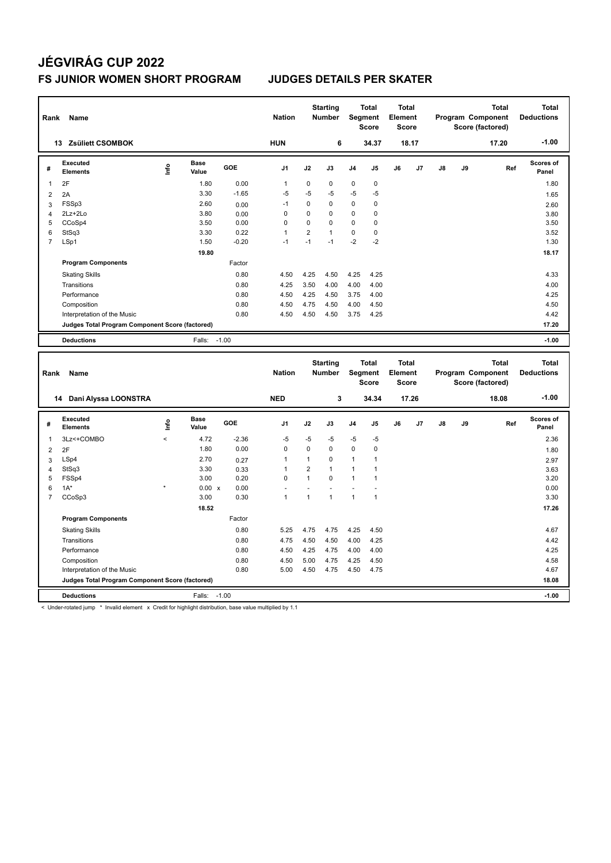#### **FS JUNIOR WOMEN SHORT PROGRAM JUDGES DETAILS PER SKATER**

| Rank           | Name                                            |    |                      |            | <b>Nation</b>  |                | <b>Starting</b><br><b>Number</b> |                | <b>Total</b><br>Segment<br><b>Score</b> | Total<br>Element<br><b>Score</b> |       |               |    | <b>Total</b><br>Program Component<br>Score (factored) | Total<br><b>Deductions</b> |
|----------------|-------------------------------------------------|----|----------------------|------------|----------------|----------------|----------------------------------|----------------|-----------------------------------------|----------------------------------|-------|---------------|----|-------------------------------------------------------|----------------------------|
|                | <b>Zsüliett CSOMBOK</b><br>13                   |    |                      |            | <b>HUN</b>     |                | 6                                |                | 34.37                                   |                                  | 18.17 |               |    | 17.20                                                 | $-1.00$                    |
| #              | Executed<br><b>Elements</b>                     | ۴ů | <b>Base</b><br>Value | <b>GOE</b> | J <sub>1</sub> | J2             | J3                               | J <sub>4</sub> | J <sub>5</sub>                          | J6                               | J7    | $\mathsf{J}8$ | J9 | Ref                                                   | Scores of<br>Panel         |
|                | 2F                                              |    | 1.80                 | 0.00       | 1              | 0              | $\mathbf 0$                      | $\mathbf 0$    | $\pmb{0}$                               |                                  |       |               |    |                                                       | 1.80                       |
| 2              | 2A                                              |    | 3.30                 | $-1.65$    | $-5$           | $-5$           | -5                               | $-5$           | $-5$                                    |                                  |       |               |    |                                                       | 1.65                       |
| 3              | FSSp3                                           |    | 2.60                 | 0.00       | $-1$           | $\Omega$       | $\Omega$                         | $\mathbf 0$    | 0                                       |                                  |       |               |    |                                                       | 2.60                       |
| 4              | 2Lz+2Lo                                         |    | 3.80                 | 0.00       | 0              | 0              | 0                                | $\mathbf 0$    | 0                                       |                                  |       |               |    |                                                       | 3.80                       |
| 5              | CCoSp4                                          |    | 3.50                 | 0.00       | 0              | 0              | 0                                | 0              | 0                                       |                                  |       |               |    |                                                       | 3.50                       |
| 6              | StSq3                                           |    | 3.30                 | 0.22       | 1              | $\overline{2}$ | $\mathbf{1}$                     | 0              | 0                                       |                                  |       |               |    |                                                       | 3.52                       |
| $\overline{7}$ | LSp1                                            |    | 1.50                 | $-0.20$    | $-1$           | $-1$           | $-1$                             | $-2$           | $-2$                                    |                                  |       |               |    |                                                       | 1.30                       |
|                |                                                 |    | 19.80                |            |                |                |                                  |                |                                         |                                  |       |               |    |                                                       | 18.17                      |
|                | <b>Program Components</b>                       |    |                      | Factor     |                |                |                                  |                |                                         |                                  |       |               |    |                                                       |                            |
|                | <b>Skating Skills</b>                           |    |                      | 0.80       | 4.50           | 4.25           | 4.50                             | 4.25           | 4.25                                    |                                  |       |               |    |                                                       | 4.33                       |
|                | Transitions                                     |    |                      | 0.80       | 4.25           | 3.50           | 4.00                             | 4.00           | 4.00                                    |                                  |       |               |    |                                                       | 4.00                       |
|                | Performance                                     |    |                      | 0.80       | 4.50           | 4.25           | 4.50                             | 3.75           | 4.00                                    |                                  |       |               |    |                                                       | 4.25                       |
|                | Composition                                     |    |                      | 0.80       | 4.50           | 4.75           | 4.50                             | 4.00           | 4.50                                    |                                  |       |               |    |                                                       | 4.50                       |
|                | Interpretation of the Music                     |    |                      | 0.80       | 4.50           | 4.50           | 4.50                             | 3.75           | 4.25                                    |                                  |       |               |    |                                                       | 4.42                       |
|                | Judges Total Program Component Score (factored) |    |                      |            |                |                |                                  |                |                                         |                                  |       |               |    |                                                       | 17.20                      |
|                | <b>Deductions</b>                               |    | Falls: -1.00         |            |                |                |                                  |                |                                         |                                  |       |               |    |                                                       | $-1.00$                    |
|                |                                                 |    |                      |            |                |                |                                  |                |                                         |                                  |       |               |    |                                                       |                            |

| Rank           | Name                                            |         |                      |            | <b>Nation</b>  |                | <b>Starting</b><br><b>Number</b> | Segment        | <b>Total</b><br>Score | Total<br>Element<br><b>Score</b> |                |    |    | <b>Total</b><br>Program Component<br>Score (factored) | <b>Total</b><br><b>Deductions</b> |
|----------------|-------------------------------------------------|---------|----------------------|------------|----------------|----------------|----------------------------------|----------------|-----------------------|----------------------------------|----------------|----|----|-------------------------------------------------------|-----------------------------------|
|                | Dani Alyssa LOONSTRA<br>14                      |         |                      |            | <b>NED</b>     |                | 3                                |                | 34.34                 |                                  | 17.26          |    |    | 18.08                                                 | $-1.00$                           |
| #              | Executed<br><b>Elements</b>                     | lnfo    | <b>Base</b><br>Value | <b>GOE</b> | J <sub>1</sub> | J2             | J3                               | J <sub>4</sub> | J <sub>5</sub>        | J6                               | J <sub>7</sub> | J8 | J9 | Ref                                                   | <b>Scores of</b><br>Panel         |
| 1              | 3Lz<+COMBO                                      | $\prec$ | 4.72                 | $-2.36$    | $-5$           | $-5$           | $-5$                             | $-5$           | $-5$                  |                                  |                |    |    |                                                       | 2.36                              |
| 2              | 2F                                              |         | 1.80                 | 0.00       | $\mathbf 0$    | 0              | $\mathbf 0$                      | $\mathbf 0$    | $\mathbf 0$           |                                  |                |    |    |                                                       | 1.80                              |
| 3              | LSp4                                            |         | 2.70                 | 0.27       | -1             | 1              | $\Omega$                         | 1              |                       |                                  |                |    |    |                                                       | 2.97                              |
| 4              | StSq3                                           |         | 3.30                 | 0.33       | 1              | $\overline{2}$ | $\mathbf{1}$                     | 1              |                       |                                  |                |    |    |                                                       | 3.63                              |
| 5              | FSSp4                                           |         | 3.00                 | 0.20       | $\Omega$       | $\mathbf{1}$   | $\Omega$                         | 1              | 1                     |                                  |                |    |    |                                                       | 3.20                              |
| 6              | $1A^*$                                          | $\star$ | 0.00 x               | 0.00       |                |                |                                  |                |                       |                                  |                |    |    |                                                       | 0.00                              |
| $\overline{7}$ | CCoSp3                                          |         | 3.00                 | 0.30       | $\overline{1}$ | $\mathbf{1}$   | $\overline{1}$                   | $\overline{1}$ | $\overline{1}$        |                                  |                |    |    |                                                       | 3.30                              |
|                |                                                 |         | 18.52                |            |                |                |                                  |                |                       |                                  |                |    |    |                                                       | 17.26                             |
|                | <b>Program Components</b>                       |         |                      | Factor     |                |                |                                  |                |                       |                                  |                |    |    |                                                       |                                   |
|                | <b>Skating Skills</b>                           |         |                      | 0.80       | 5.25           | 4.75           | 4.75                             | 4.25           | 4.50                  |                                  |                |    |    |                                                       | 4.67                              |
|                | Transitions                                     |         |                      | 0.80       | 4.75           | 4.50           | 4.50                             | 4.00           | 4.25                  |                                  |                |    |    |                                                       | 4.42                              |
|                | Performance                                     |         |                      | 0.80       | 4.50           | 4.25           | 4.75                             | 4.00           | 4.00                  |                                  |                |    |    |                                                       | 4.25                              |
|                | Composition                                     |         |                      | 0.80       | 4.50           | 5.00           | 4.75                             | 4.25           | 4.50                  |                                  |                |    |    |                                                       | 4.58                              |
|                | Interpretation of the Music                     |         |                      | 0.80       | 5.00           | 4.50           | 4.75                             | 4.50           | 4.75                  |                                  |                |    |    |                                                       | 4.67                              |
|                | Judges Total Program Component Score (factored) |         |                      |            |                |                |                                  |                |                       |                                  |                |    |    |                                                       | 18.08                             |
|                | <b>Deductions</b>                               |         | Falls:               | $-1.00$    |                |                |                                  |                |                       |                                  |                |    |    |                                                       | $-1.00$                           |

< Under-rotated jump \* Invalid element x Credit for highlight distribution, base value multiplied by 1.1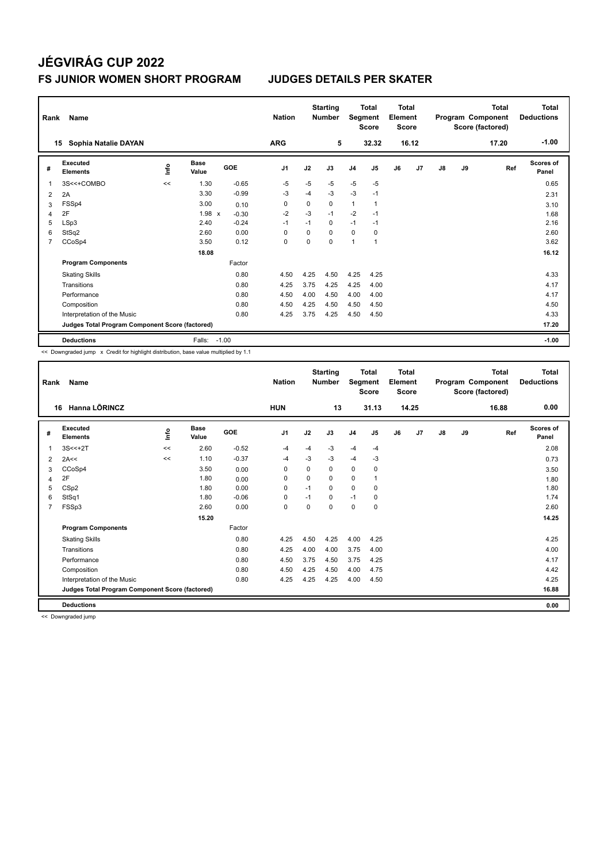### **FS JUNIOR WOMEN SHORT PROGRAM JUDGES DETAILS PER SKATER**

| Rank           | Name<br>Sophia Natalie DAYAN<br>15              |      |                      |         | <b>Nation</b><br><b>ARG</b> |          | <b>Starting</b><br><b>Number</b><br>5 | Segment        | <b>Total</b><br><b>Score</b><br>32.32 | <b>Total</b><br>Element<br><b>Score</b> | 16.12 |               |    | <b>Total</b><br>Program Component<br>Score (factored)<br>17.20 | <b>Total</b><br><b>Deductions</b><br>$-1.00$ |
|----------------|-------------------------------------------------|------|----------------------|---------|-----------------------------|----------|---------------------------------------|----------------|---------------------------------------|-----------------------------------------|-------|---------------|----|----------------------------------------------------------------|----------------------------------------------|
|                |                                                 |      |                      |         |                             |          |                                       |                |                                       |                                         |       |               |    |                                                                |                                              |
| #              | Executed<br><b>Elements</b>                     | lnfo | <b>Base</b><br>Value | GOE     | J <sub>1</sub>              | J2       | J3                                    | J <sub>4</sub> | J <sub>5</sub>                        | J6                                      | J7    | $\mathsf{J}8$ | J9 | Ref                                                            | Scores of<br>Panel                           |
|                | 3S<<+COMBO                                      | <<   | 1.30                 | $-0.65$ | $-5$                        | $-5$     | $-5$                                  | $-5$           | $-5$                                  |                                         |       |               |    |                                                                | 0.65                                         |
| $\overline{2}$ | 2A                                              |      | 3.30                 | $-0.99$ | $-3$                        | $-4$     | $-3$                                  | $-3$           | $-1$                                  |                                         |       |               |    |                                                                | 2.31                                         |
| 3              | FSSp4                                           |      | 3.00                 | 0.10    | 0                           | 0        | $\Omega$                              | $\mathbf{1}$   | $\overline{1}$                        |                                         |       |               |    |                                                                | 3.10                                         |
| 4              | 2F                                              |      | $1.98 \times$        | $-0.30$ | $-2$                        | $-3$     | $-1$                                  | $-2$           | $-1$                                  |                                         |       |               |    |                                                                | 1.68                                         |
| 5              | LSp3                                            |      | 2.40                 | $-0.24$ | $-1$                        | $-1$     | $\mathbf 0$                           | $-1$           | $-1$                                  |                                         |       |               |    |                                                                | 2.16                                         |
| 6              | StSq2                                           |      | 2.60                 | 0.00    | $\Omega$                    | $\Omega$ | $\Omega$                              | $\Omega$       | 0                                     |                                         |       |               |    |                                                                | 2.60                                         |
| 7              | CCoSp4                                          |      | 3.50                 | 0.12    | 0                           | 0        | $\mathbf 0$                           | 1              | $\overline{1}$                        |                                         |       |               |    |                                                                | 3.62                                         |
|                |                                                 |      | 18.08                |         |                             |          |                                       |                |                                       |                                         |       |               |    |                                                                | 16.12                                        |
|                | <b>Program Components</b>                       |      |                      | Factor  |                             |          |                                       |                |                                       |                                         |       |               |    |                                                                |                                              |
|                | <b>Skating Skills</b>                           |      |                      | 0.80    | 4.50                        | 4.25     | 4.50                                  | 4.25           | 4.25                                  |                                         |       |               |    |                                                                | 4.33                                         |
|                | Transitions                                     |      |                      | 0.80    | 4.25                        | 3.75     | 4.25                                  | 4.25           | 4.00                                  |                                         |       |               |    |                                                                | 4.17                                         |
|                | Performance                                     |      |                      | 0.80    | 4.50                        | 4.00     | 4.50                                  | 4.00           | 4.00                                  |                                         |       |               |    |                                                                | 4.17                                         |
|                | Composition                                     |      |                      | 0.80    | 4.50                        | 4.25     | 4.50                                  | 4.50           | 4.50                                  |                                         |       |               |    |                                                                | 4.50                                         |
|                | Interpretation of the Music                     |      |                      | 0.80    | 4.25                        | 3.75     | 4.25                                  | 4.50           | 4.50                                  |                                         |       |               |    |                                                                | 4.33                                         |
|                | Judges Total Program Component Score (factored) |      |                      |         |                             |          |                                       |                |                                       |                                         |       |               |    |                                                                | 17.20                                        |
|                | <b>Deductions</b>                               |      | Falls:               | $-1.00$ |                             |          |                                       |                |                                       |                                         |       |               |    |                                                                | $-1.00$                                      |

<< Downgraded jump x Credit for highlight distribution, base value multiplied by 1.1

| Rank           | <b>Name</b>                                     |      |                      |         | <b>Nation</b>  |          | <b>Starting</b><br><b>Number</b> | Segment        | <b>Total</b><br><b>Score</b> | Total<br>Element<br><b>Score</b> |       |               |    | <b>Total</b><br>Program Component<br>Score (factored) | <b>Total</b><br><b>Deductions</b> |
|----------------|-------------------------------------------------|------|----------------------|---------|----------------|----------|----------------------------------|----------------|------------------------------|----------------------------------|-------|---------------|----|-------------------------------------------------------|-----------------------------------|
|                | Hanna LÕRINCZ<br>16                             |      |                      |         | <b>HUN</b>     |          | 13                               |                | 31.13                        |                                  | 14.25 |               |    | 16.88                                                 | 0.00                              |
| #              | Executed<br><b>Elements</b>                     | ١nfo | <b>Base</b><br>Value | GOE     | J <sub>1</sub> | J2       | J3                               | J <sub>4</sub> | J5                           | J6                               | J7    | $\mathsf{J}8$ | J9 | Ref                                                   | Scores of<br>Panel                |
|                | $3S < +2T$                                      | <<   | 2.60                 | $-0.52$ | $-4$           | $-4$     | $-3$                             | $-4$           | $-4$                         |                                  |       |               |    |                                                       | 2.08                              |
| 2              | 2A<<                                            | <<   | 1.10                 | $-0.37$ | -4             | $-3$     | $-3$                             | $-4$           | $-3$                         |                                  |       |               |    |                                                       | 0.73                              |
| 3              | CCoSp4                                          |      | 3.50                 | 0.00    | 0              | 0        | 0                                | $\mathbf 0$    | 0                            |                                  |       |               |    |                                                       | 3.50                              |
| 4              | 2F                                              |      | 1.80                 | 0.00    | 0              | $\Omega$ | 0                                | 0              |                              |                                  |       |               |    |                                                       | 1.80                              |
| 5              | CSp2                                            |      | 1.80                 | 0.00    | $\Omega$       | $-1$     | $\Omega$                         | $\mathbf 0$    | $\Omega$                     |                                  |       |               |    |                                                       | 1.80                              |
| 6              | StSq1                                           |      | 1.80                 | $-0.06$ | $\mathbf 0$    | $-1$     | 0                                | $-1$           | 0                            |                                  |       |               |    |                                                       | 1.74                              |
| $\overline{7}$ | FSSp3                                           |      | 2.60                 | 0.00    | 0              | $\Omega$ | 0                                | 0              | 0                            |                                  |       |               |    |                                                       | 2.60                              |
|                |                                                 |      | 15.20                |         |                |          |                                  |                |                              |                                  |       |               |    |                                                       | 14.25                             |
|                | <b>Program Components</b>                       |      |                      | Factor  |                |          |                                  |                |                              |                                  |       |               |    |                                                       |                                   |
|                | <b>Skating Skills</b>                           |      |                      | 0.80    | 4.25           | 4.50     | 4.25                             | 4.00           | 4.25                         |                                  |       |               |    |                                                       | 4.25                              |
|                | Transitions                                     |      |                      | 0.80    | 4.25           | 4.00     | 4.00                             | 3.75           | 4.00                         |                                  |       |               |    |                                                       | 4.00                              |
|                | Performance                                     |      |                      | 0.80    | 4.50           | 3.75     | 4.50                             | 3.75           | 4.25                         |                                  |       |               |    |                                                       | 4.17                              |
|                | Composition                                     |      |                      | 0.80    | 4.50           | 4.25     | 4.50                             | 4.00           | 4.75                         |                                  |       |               |    |                                                       | 4.42                              |
|                | Interpretation of the Music                     |      |                      | 0.80    | 4.25           | 4.25     | 4.25                             | 4.00           | 4.50                         |                                  |       |               |    |                                                       | 4.25                              |
|                | Judges Total Program Component Score (factored) |      |                      |         |                |          |                                  |                |                              |                                  |       |               |    |                                                       | 16.88                             |
|                | <b>Deductions</b>                               |      |                      |         |                |          |                                  |                |                              |                                  |       |               |    |                                                       | 0.00                              |

<< Downgraded jump